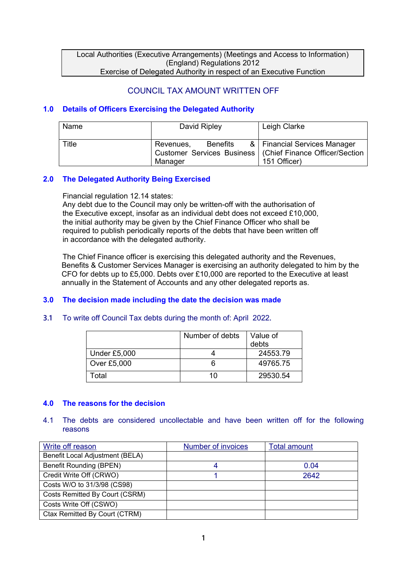Local Authorities (Executive Arrangements) (Meetings and Access to Information) (England) Regulations 2012 Exercise of Delegated Authority in respect of an Executive Function

# COUNCIL TAX AMOUNT WRITTEN OFF

### **1.0 Details of Officers Exercising the Delegated Authority**

| Name  | David Ripley                     | Leigh Clarke                                                                                                      |
|-------|----------------------------------|-------------------------------------------------------------------------------------------------------------------|
| Title | Benefits<br>Revenues,<br>Manager | &   Financial Services Manager<br>  Customer Services Business   (Chief Finance Officer/Section  <br>151 Officer) |

## **2.0 The Delegated Authority Being Exercised**

Financial regulation 12.14 states:

Any debt due to the Council may only be written-off with the authorisation of the Executive except, insofar as an individual debt does not exceed £10,000, the initial authority may be given by the Chief Finance Officer who shall be required to publish periodically reports of the debts that have been written off in accordance with the delegated authority.

The Chief Finance officer is exercising this delegated authority and the Revenues, Benefits & Customer Services Manager is exercising an authority delegated to him by the CFO for debts up to £5,000. Debts over £10,000 are reported to the Executive at least annually in the Statement of Accounts and any other delegated reports as.

#### **3.0 The decision made including the date the decision was made**

#### **3.1** To write off Council Tax debts during the month of: April 2022**.**

|              | Number of debts | Value of<br>debts |
|--------------|-----------------|-------------------|
| Under £5,000 |                 | 24553.79          |
| Over £5,000  | ิค              | 49765.75          |
| Total        | 10              | 29530.54          |

#### **4.0 The reasons for the decision**

#### 4.1 The debts are considered uncollectable and have been written off for the following reasons

| Write off reason                | <b>Number of invoices</b> | <b>Total amount</b> |
|---------------------------------|---------------------------|---------------------|
| Benefit Local Adjustment (BELA) |                           |                     |
| Benefit Rounding (BPEN)         |                           | 0.04                |
| Credit Write Off (CRWO)         |                           | 2642                |
| Costs W/O to 31/3/98 (CS98)     |                           |                     |
| Costs Remitted By Court (CSRM)  |                           |                     |
| Costs Write Off (CSWO)          |                           |                     |
| Ctax Remitted By Court (CTRM)   |                           |                     |